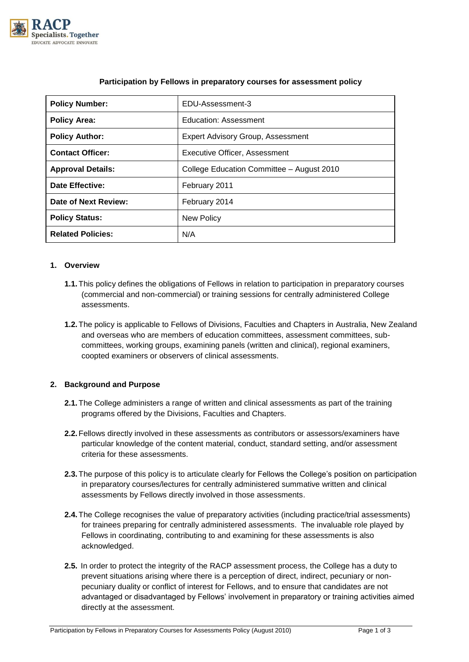

| <b>Policy Number:</b>    | EDU-Assessment-3                          |
|--------------------------|-------------------------------------------|
| <b>Policy Area:</b>      | Education: Assessment                     |
| <b>Policy Author:</b>    | <b>Expert Advisory Group, Assessment</b>  |
| <b>Contact Officer:</b>  | Executive Officer, Assessment             |
| <b>Approval Details:</b> | College Education Committee - August 2010 |
| <b>Date Effective:</b>   | February 2011                             |
| Date of Next Review:     | February 2014                             |
| <b>Policy Status:</b>    | New Policy                                |
| <b>Related Policies:</b> | N/A                                       |

# **Participation by Fellows in preparatory courses for assessment policy**

## **1. Overview**

- **1.1.**This policy defines the obligations of Fellows in relation to participation in preparatory courses (commercial and non-commercial) or training sessions for centrally administered College assessments.
- **1.2.**The policy is applicable to Fellows of Divisions, Faculties and Chapters in Australia, New Zealand and overseas who are members of education committees, assessment committees, subcommittees, working groups, examining panels (written and clinical), regional examiners, coopted examiners or observers of clinical assessments.

# **2. Background and Purpose**

- **2.1.**The College administers a range of written and clinical assessments as part of the training programs offered by the Divisions, Faculties and Chapters.
- **2.2.**Fellows directly involved in these assessments as contributors or assessors/examiners have particular knowledge of the content material, conduct, standard setting, and/or assessment criteria for these assessments.
- **2.3.**The purpose of this policy is to articulate clearly for Fellows the College's position on participation in preparatory courses/lectures for centrally administered summative written and clinical assessments by Fellows directly involved in those assessments.
- **2.4.**The College recognises the value of preparatory activities (including practice/trial assessments) for trainees preparing for centrally administered assessments. The invaluable role played by Fellows in coordinating, contributing to and examining for these assessments is also acknowledged.
- **2.5.** In order to protect the integrity of the RACP assessment process, the College has a duty to prevent situations arising where there is a perception of direct, indirect, pecuniary or nonpecuniary duality or conflict of interest for Fellows, and to ensure that candidates are not advantaged or disadvantaged by Fellows' involvement in preparatory or training activities aimed directly at the assessment.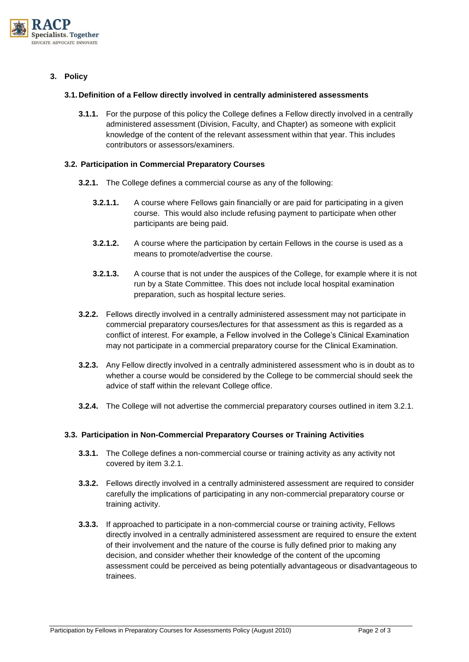

**3. Policy**

## **3.1. Definition of a Fellow directly involved in centrally administered assessments**

**3.1.1.** For the purpose of this policy the College defines a Fellow directly involved in a centrally administered assessment (Division, Faculty, and Chapter) as someone with explicit knowledge of the content of the relevant assessment within that year. This includes contributors or assessors/examiners.

## **3.2. Participation in Commercial Preparatory Courses**

- **3.2.1.** The College defines a commercial course as any of the following:
	- **3.2.1.1.** A course where Fellows gain financially or are paid for participating in a given course. This would also include refusing payment to participate when other participants are being paid.
	- **3.2.1.2.** A course where the participation by certain Fellows in the course is used as a means to promote/advertise the course.
	- **3.2.1.3.** A course that is not under the auspices of the College, for example where it is not run by a State Committee. This does not include local hospital examination preparation, such as hospital lecture series.
- **3.2.2.** Fellows directly involved in a centrally administered assessment may not participate in commercial preparatory courses/lectures for that assessment as this is regarded as a conflict of interest. For example, a Fellow involved in the College's Clinical Examination may not participate in a commercial preparatory course for the Clinical Examination.
- **3.2.3.** Any Fellow directly involved in a centrally administered assessment who is in doubt as to whether a course would be considered by the College to be commercial should seek the advice of staff within the relevant College office.
- **3.2.4.** The College will not advertise the commercial preparatory courses outlined in item 3.2.1.

# **3.3. Participation in Non-Commercial Preparatory Courses or Training Activities**

- **3.3.1.** The College defines a non-commercial course or training activity as any activity not covered by item 3.2.1.
- **3.3.2.** Fellows directly involved in a centrally administered assessment are required to consider carefully the implications of participating in any non-commercial preparatory course or training activity.
- **3.3.3.** If approached to participate in a non-commercial course or training activity, Fellows directly involved in a centrally administered assessment are required to ensure the extent of their involvement and the nature of the course is fully defined prior to making any decision, and consider whether their knowledge of the content of the upcoming assessment could be perceived as being potentially advantageous or disadvantageous to trainees.